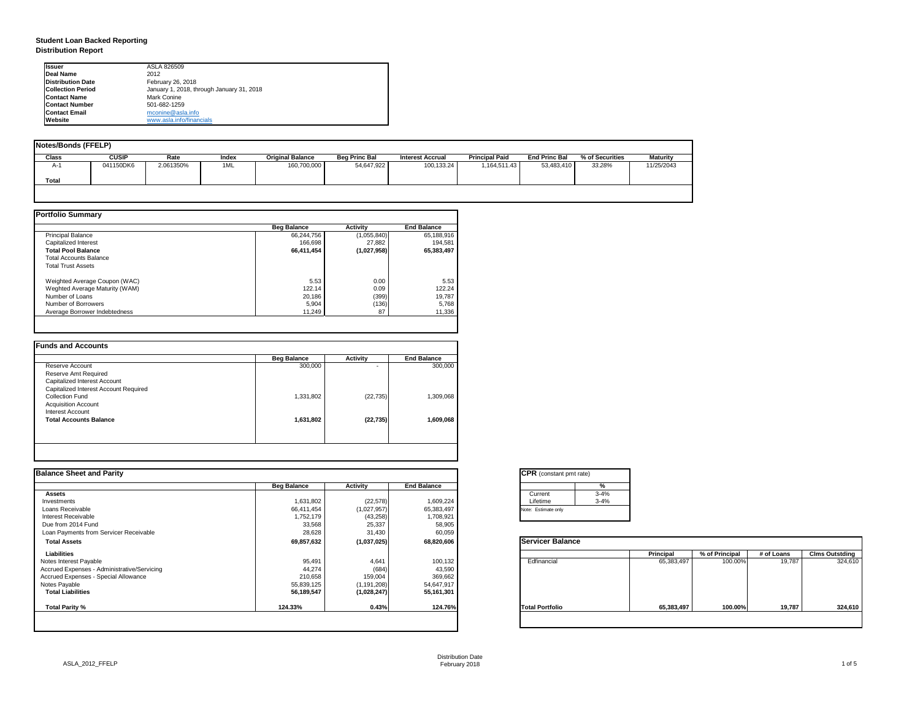## **Student Loan Backed Reporting Distribution Report**

| Notes/Bonds (FFELP) |              |           |       |                         |                      |                         |                       |                      |                 |                 |
|---------------------|--------------|-----------|-------|-------------------------|----------------------|-------------------------|-----------------------|----------------------|-----------------|-----------------|
| <b>Class</b>        | <b>CUSIP</b> | Rate      | Index | <b>Original Balance</b> | <b>Beg Princ Bal</b> | <b>Interest Accrual</b> | <b>Principal Paid</b> | <b>End Princ Bal</b> | % of Securities | <b>Maturity</b> |
| A-1                 | 041150DK6    | 2.061350% | 1ML   | 160,700,000             | 54,647,922           | 100,133.24              | 1,164,511.43          | 53,483,410           | 33.28%          | 11/25/2043      |
| <b>Total</b>        |              |           |       |                         |                      |                         |                       |                      |                 |                 |
|                     |              |           |       |                         |                      |                         |                       |                      |                 |                 |

|                                | <b>Beg Balance</b> | <b>Activity</b> | <b>End Balance</b> |
|--------------------------------|--------------------|-----------------|--------------------|
| <b>Principal Balance</b>       | 66,244,756         | (1,055,840)     | 65,188,916         |
| <b>Capitalized Interest</b>    | 166,698            | 27,882          | 194,581            |
| <b>Total Pool Balance</b>      | 66,411,454         | (1,027,958)     | 65,383,497         |
| <b>Total Accounts Balance</b>  |                    |                 |                    |
| <b>Total Trust Assets</b>      |                    |                 |                    |
| Weighted Average Coupon (WAC)  | 5.53               | 0.00            | 5.53               |
| Weghted Average Maturity (WAM) | 122.14             | 0.09            | 122.24             |
| Number of Loans                | 20,186             | (399)           | 19,787             |
| Number of Borrowers            | 5,904              | (136)           | 5,768              |
| Average Borrower Indebtedness  | 11,249             | 87              | 11,336             |

|                                       | <b>Beg Balance</b> | <b>Activity</b> | <b>End Balance</b> |
|---------------------------------------|--------------------|-----------------|--------------------|
| Reserve Account                       | 300,000            | ۰               | 300,000            |
| Reserve Amt Required                  |                    |                 |                    |
| <b>Capitalized Interest Account</b>   |                    |                 |                    |
| Capitalized Interest Account Required |                    |                 |                    |
| <b>Collection Fund</b>                | 1,331,802          | (22, 735)       | 1,309,068          |
| <b>Acquisition Account</b>            |                    |                 |                    |
| <b>Interest Account</b>               |                    |                 |                    |
| <b>Total Accounts Balance</b>         | 1,631,802          | (22, 735)       | 1,609,068          |
|                                       |                    |                 |                    |

| tant pmt rate) |          |
|----------------|----------|
|                | %        |
|                | $3 - 4%$ |
|                | $3 - 4%$ |
| only           |          |

|      | <b>Principal</b> | % of Principal | # of Loans | <b>Clms Outstding</b> |  |  |
|------|------------------|----------------|------------|-----------------------|--|--|
| al   | 65,383,497       | 100.00%        | 19,787     | 324,610               |  |  |
| olio | 65,383,497       | 100.00%        | 19,787     | 324,610               |  |  |

| <b>I</b> lssuer          | ASLA 826509                               |
|--------------------------|-------------------------------------------|
| Deal Name                | 2012                                      |
| Distribution Date        | February 26, 2018                         |
| <b>Collection Period</b> | January 1, 2018, through January 31, 2018 |
| <b>Contact Name</b>      | Mark Conine                               |
| <b>Contact Number</b>    | 501-682-1259                              |
| <b>Contact Email</b>     | mconine@asla.info                         |
| <b>IWebsite</b>          | www.asla.info/financials                  |

| <b>Balance Sheet and Parity</b>             |                    |                 |                    | <b>CPR</b> (constant pmt rate) |                  |                |            |                       |
|---------------------------------------------|--------------------|-----------------|--------------------|--------------------------------|------------------|----------------|------------|-----------------------|
|                                             | <b>Beg Balance</b> | <b>Activity</b> | <b>End Balance</b> | %                              |                  |                |            |                       |
| <b>Assets</b>                               |                    |                 |                    | $3 - 4%$<br>Current            |                  |                |            |                       |
| Investments                                 | 1,631,802          | (22, 578)       | 1,609,224          | $3 - 4%$<br>Lifetime           |                  |                |            |                       |
| Loans Receivable                            | 66,411,454         | (1,027,957)     | 65,383,497         | Note: Estimate only            |                  |                |            |                       |
| Interest Receivable                         | 1,752,179          | (43, 258)       | 1,708,921          |                                |                  |                |            |                       |
| Due from 2014 Fund                          | 33,568             | 25,337          | 58,905             |                                |                  |                |            |                       |
| Loan Payments from Servicer Receivable      | 28,628             | 31,430          | 60,059             |                                |                  |                |            |                       |
| <b>Total Assets</b>                         | 69,857,632         | (1,037,025)     | 68,820,606         | <b>Servicer Balance</b>        |                  |                |            |                       |
| <b>Liabilities</b>                          |                    |                 |                    |                                | <b>Principal</b> | % of Principal | # of Loans | <b>Clms Outstding</b> |
| Notes Interest Payable                      | 95,491             | 4,641           | 100,132            | Edfinancial                    | 65,383,497       | 100.00%        | 19,787     | 324,610               |
| Accrued Expenses - Administrative/Servicing | 44,274             | (684)           | 43,590             |                                |                  |                |            |                       |
| Accrued Expenses - Special Allowance        | 210,658            | 159,004         | 369,662            |                                |                  |                |            |                       |
| Notes Payable                               | 55,839,125         | (1, 191, 208)   | 54,647,917         |                                |                  |                |            |                       |
| <b>Total Liabilities</b>                    | 56,189,547         | (1,028,247)     | 55,161,301         |                                |                  |                |            |                       |
| <b>Total Parity %</b>                       | 124.33%            | 0.43%           | 124.76%            | <b>Total Portfolio</b>         | 65,383,497       | 100.00%        | 19,787     | 324,610               |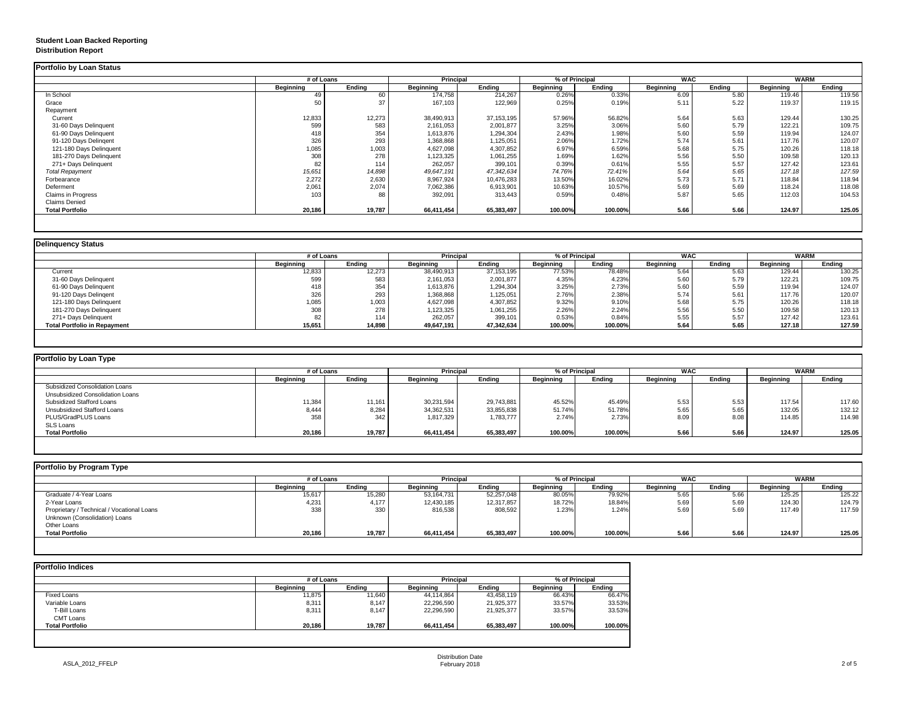## **Student Loan Backed Reporting Distribution Report**

### **Delinquency Status**

|                           | # of Loans       |               | <b>Principal</b> |               | % of Principal   |               | <b>WAC</b>       |               | <b>WARM</b>      |               |
|---------------------------|------------------|---------------|------------------|---------------|------------------|---------------|------------------|---------------|------------------|---------------|
|                           | <b>Beginning</b> | <b>Ending</b> | <b>Beginning</b> | <b>Ending</b> | <b>Beginning</b> | <b>Ending</b> | <b>Beginning</b> | <b>Ending</b> | <b>Beginning</b> | <b>Ending</b> |
| In School                 | 49               | 60            | 174,758          | 214,267       | 0.26%            | 0.33%         | 6.09             | 5.80          | 119.46           | 119.56        |
| Grace                     | 50               | 37            | 167,103          | 122,969       | 0.25%            | 0.19%         | 5.11             | 5.22          | 119.37           | 119.15        |
| Repayment                 |                  |               |                  |               |                  |               |                  |               |                  |               |
| Current                   | 12,833           | 12,273        | 38,490,913       | 37,153,195    | 57.96%           | 56.82%        | 5.64             | 5.63          | 129.44           | 130.25        |
| 31-60 Days Delinquent     | 599              | 583           | 2,161,053        | 2,001,877     | 3.25%            | 3.06%         | 5.60             | 5.79          | 122.21           | 109.75        |
| 61-90 Days Delinquent     | 418              | 354           | 1,613,876        | 1,294,304     | 2.43%            | 1.98%         | 5.60             | 5.59          | 119.94           | 124.07        |
| 91-120 Days Delingent     | 326              | 293           | 1,368,868        | 1,125,051     | 2.06%            | 1.72%         | 5.74             | 5.61          | 117.76           | 120.07        |
| 121-180 Days Delinquent   | 1,085            | 1,003         | 4,627,098        | 4,307,852     | 6.97%            | 6.59%         | 5.68             | 5.75          | 120.26           | 118.18        |
| 181-270 Days Delinquent   | 308              | 278           | 1,123,325        | 1,061,255     | 1.69%            | 1.62%         | 5.56             | 5.50          | 109.58           | 120.13        |
| 271+ Days Delinquent      | 82               | 114           | 262,057          | 399,101       | 0.39%            | 0.61%         | 5.55             | 5.57          | 127.42           | 123.61        |
| <b>Total Repayment</b>    | 15,651           | 14,898        | 49,647,191       | 47,342,634    | 74.76%           | 72.41%        | 5.64             | 5.65          | 127.18           | 127.59        |
| Forbearance               | 2,272            | 2,630         | 8,967,924        | 10,476,283    | 13.50%           | 16.02%        | 5.73             | 5.71          | 118.84           | 118.94        |
| Deferment                 | 2,061            | 2,074         | 7,062,386        | 6,913,901     | 10.63%           | 10.57%        | 5.69             | 5.69          | 118.24           | 118.08        |
| <b>Claims in Progress</b> | 103              | 88            | 392,091          | 313,443       | 0.59%            | 0.48%         | 5.87             | 5.65          | 112.03           | 104.53        |
| <b>Claims Denied</b>      |                  |               |                  |               |                  |               |                  |               |                  |               |
| <b>Total Portfolio</b>    | 20,186           | 19,787        | 66,411,454       | 65,383,497    | 100.00%          | 100.00%       | 5.66             | 5.66          | 124.97           | 125.05        |

|                                     | # of Loans       |               | <b>Principal</b> |            | % of Principal   |               | <b>WAC</b>       |        | <b>WARM</b>      |               |
|-------------------------------------|------------------|---------------|------------------|------------|------------------|---------------|------------------|--------|------------------|---------------|
|                                     | <b>Beginning</b> | <b>Ending</b> | <b>Beginning</b> | Ending     | <b>Beginning</b> | <b>Ending</b> | <b>Beginning</b> | Ending | <b>Beginning</b> | <b>Ending</b> |
| Current                             | 12,833           | 12,273        | 38,490,913       | 37,153,195 | 77.53%           | 78.48%        | 5.64             | 5.63   | 129.44           | 130.25        |
| 31-60 Days Delinquent               | 599              | 583           | 2,161,053        | 2,001,877  | 4.35%            | 4.23%         | 5.60             | 5.79   | 122.21           | 109.75        |
| 61-90 Days Delinquent               | 418              | 354           | 1,613,876        | 1,294,304  | 3.25%            | 2.73%         | 5.60             | 5.59   | 119.94           | 124.07        |
| 91-120 Days Delingent               | 326              | 293           | 1,368,868        | 1,125,051  | 2.76%            | 2.38%         | 5.74             | 5.61   | 117.76           | 120.07        |
| 121-180 Days Delinquent             | 1,085            | 1,003         | 4,627,098        | 4,307,852  | 9.32%            | 9.10%         | 5.68             | 5.75   | 120.26           | 118.18        |
| 181-270 Days Delinquent             | 308              | 278           | 1,123,325        | 1,061,255  | 2.26%            | 2.24%         | 5.56             | 5.50   | 109.58           | 120.13        |
| 271+ Days Delinquent                | 82               | 114           | 262,057          | 399,101    | 0.53%            | 0.84%         | 5.55             | 5.57   | 127.42           | 123.61        |
| <b>Total Portfolio in Repayment</b> | 15,651           | 14,898        | 49,647,191       | 47,342,634 | 100.00%          | 100.00%       | 5.64             | 5.65   | 127.18           | 127.59        |

| <b>Portfolio by Loan Type</b>           |                  |               |                  |               |                  |               |                  |               |                  |               |
|-----------------------------------------|------------------|---------------|------------------|---------------|------------------|---------------|------------------|---------------|------------------|---------------|
|                                         | # of Loans       |               | <b>Principal</b> |               | % of Principal   |               | <b>WAC</b>       |               | <b>WARM</b>      |               |
|                                         | <b>Beginning</b> | <b>Ending</b> | <b>Beginning</b> | <b>Ending</b> | <b>Beginning</b> | <b>Ending</b> | <b>Beginning</b> | <b>Ending</b> | <b>Beginning</b> | <b>Ending</b> |
| <b>Subsidized Consolidation Loans</b>   |                  |               |                  |               |                  |               |                  |               |                  |               |
| <b>Unsubsidized Consolidation Loans</b> |                  |               |                  |               |                  |               |                  |               |                  |               |
| <b>Subsidized Stafford Loans</b>        | 11,384           | 11,161        | 30,231,594       | 29,743,881    | 45.52%           | 45.49%        | 5.53             | 5.53          | 117.54           | 117.60        |
| <b>Unsubsidized Stafford Loans</b>      | 8,444            | 8,284         | 34,362,531       | 33,855,838    | 51.74%           | 51.78%        | 5.65             | 5.65          | 132.05           | 132.12        |
| PLUS/GradPLUS Loans                     | 358              | 342           | 1,817,329        | 1,783,777     | 2.74%            | 2.73%         | 8.09             | 8.08          | 114.85           | 114.98        |
| <b>SLS Loans</b>                        |                  |               |                  |               |                  |               |                  |               |                  |               |
| <b>Total Portfolio</b>                  | 20,186           | 19,787        | 66,411,454       | 65,383,497    | 100.00%          | 100.00%       | 5.66             | 5.66          | 124.97           | 125.05        |

| Portfolio by Program Type                  |                  |               |                  |                                    |                  |               |                  |               |                  |               |
|--------------------------------------------|------------------|---------------|------------------|------------------------------------|------------------|---------------|------------------|---------------|------------------|---------------|
|                                            |                  | # of Loans    |                  | % of Principal<br><b>Principal</b> |                  | <b>WAC</b>    |                  |               | <b>WARM</b>      |               |
|                                            | <b>Beginning</b> | <b>Ending</b> | <b>Beginning</b> | <b>Ending</b>                      | <b>Beginning</b> | <b>Ending</b> | <b>Beginning</b> | <b>Ending</b> | <b>Beginning</b> | <b>Ending</b> |
| Graduate / 4-Year Loans                    | 15,617           | 15,280        | 53,164,731       | 52,257,048                         | 80.05%           | 79.92%        | 5.65             | 5.66          | 125.25           | 125.22        |
| 2-Year Loans                               | 4,231            | 4,177         | 12,430,185       | 12,317,857                         | 18.72%           | 18.84%        | 5.69             | 5.69          | 124.30           | 124.79        |
| Proprietary / Technical / Vocational Loans | 338              | 330           | 816,538          | 808,592                            | 1.23%            | 1.24%         | 5.69             | 5.69          | 117.49           | 117.59        |
| Unknown (Consolidation) Loans              |                  |               |                  |                                    |                  |               |                  |               |                  |               |
| Other Loans                                |                  |               |                  |                                    |                  |               |                  |               |                  |               |
| <b>Total Portfolio</b>                     | 20,186           | 19,787        | 66,411,454       | 65,383,497                         | 100.00%          | 100.00%       | 5.66             | 5.66          | 124.97           | 125.05        |
|                                            |                  |               |                  |                                    |                  |               |                  |               |                  |               |

|                        | # of Loans       | <b>Principal</b> |                  | % of Principal |                  |               |
|------------------------|------------------|------------------|------------------|----------------|------------------|---------------|
|                        | <b>Beginning</b> | <b>Ending</b>    | <b>Beginning</b> | <b>Ending</b>  | <b>Beginning</b> | <b>Ending</b> |
| <b>Fixed Loans</b>     | 11,875           | 11,640           | 44,114,864       | 43,458,119     | 66.43%           | 66.47%        |
| Variable Loans         | 8,311            | 8,147            | 22,296,590       | 21,925,377     | 33.57%           | 33.53%        |
| T-Bill Loans           | 8,311            | 8,147            | 22,296,590       | 21,925,377     | 33.57%           | 33.53%        |
| <b>CMT Loans</b>       |                  |                  |                  |                |                  |               |
| <b>Total Portfolio</b> | 20,186           | 19,787           | 66,411,454       | 65,383,497     | 100.00%          | 100.00%       |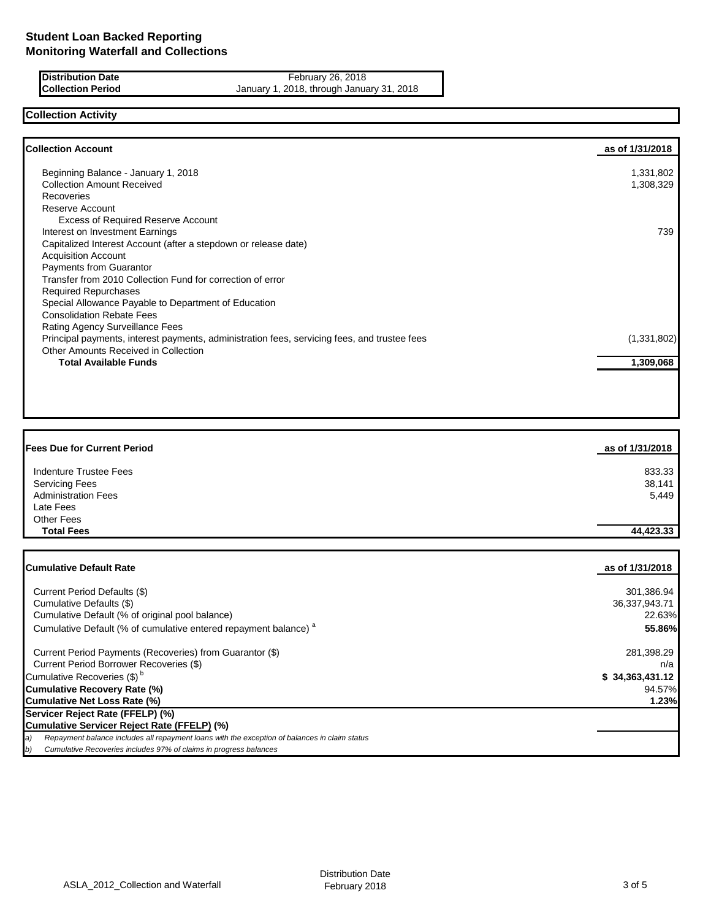**Distribution Date February 26, 2018 Collection Period** January 1, 2018, through January 31, 2018

# **Collection Activity**

| <b>Collection Account</b>                                                                    | as of 1/31/2018 |
|----------------------------------------------------------------------------------------------|-----------------|
| Beginning Balance - January 1, 2018                                                          | 1,331,802       |
| <b>Collection Amount Received</b>                                                            | 1,308,329       |
| <b>Recoveries</b>                                                                            |                 |
| Reserve Account                                                                              |                 |
|                                                                                              |                 |
| <b>Excess of Required Reserve Account</b>                                                    |                 |
| Interest on Investment Earnings                                                              | 739             |
| Capitalized Interest Account (after a stepdown or release date)                              |                 |
| <b>Acquisition Account</b>                                                                   |                 |
| <b>Payments from Guarantor</b>                                                               |                 |
| Transfer from 2010 Collection Fund for correction of error                                   |                 |
| <b>Required Repurchases</b>                                                                  |                 |
| Special Allowance Payable to Department of Education                                         |                 |
| <b>Consolidation Rebate Fees</b>                                                             |                 |
| <b>Rating Agency Surveillance Fees</b>                                                       |                 |
| Principal payments, interest payments, administration fees, servicing fees, and trustee fees | (1,331,802)     |
| Other Amounts Received in Collection                                                         |                 |
| <b>Total Available Funds</b>                                                                 | 1,309,068       |
|                                                                                              |                 |

| <b>Fees Due for Current Period</b> | as of 1/31/2018 |
|------------------------------------|-----------------|
| Indenture Trustee Fees             | 833.33          |
| <b>Servicing Fees</b>              | 38,141          |
| <b>Administration Fees</b>         | 5,449           |
| Late Fees                          |                 |
| <b>Other Fees</b>                  |                 |
| <b>Total Fees</b>                  | 44,423.33       |

| <b>Cumulative Default Rate</b>                                                                      | as of 1/31/2018 |
|-----------------------------------------------------------------------------------------------------|-----------------|
|                                                                                                     | 301,386.94      |
| Current Period Defaults (\$)                                                                        |                 |
| Cumulative Defaults (\$)                                                                            | 36,337,943.71   |
| Cumulative Default (% of original pool balance)                                                     | 22.63%          |
| Cumulative Default (% of cumulative entered repayment balance) <sup>a</sup>                         | 55.86%          |
| Current Period Payments (Recoveries) from Guarantor (\$)                                            | 281,398.29      |
| Current Period Borrower Recoveries (\$)                                                             | n/a             |
| Cumulative Recoveries (\$) <sup>b</sup>                                                             | \$34,363,431.12 |
| Cumulative Recovery Rate (%)                                                                        | 94.57%          |
| Cumulative Net Loss Rate (%)                                                                        | 1.23%           |
| Servicer Reject Rate (FFELP) (%)                                                                    |                 |
| Cumulative Servicer Reject Rate (FFELP) (%)                                                         |                 |
| Repayment balance includes all repayment loans with the exception of balances in claim status<br>a) |                 |
| Cumulative Recoveries includes 97% of claims in progress balances<br>(b                             |                 |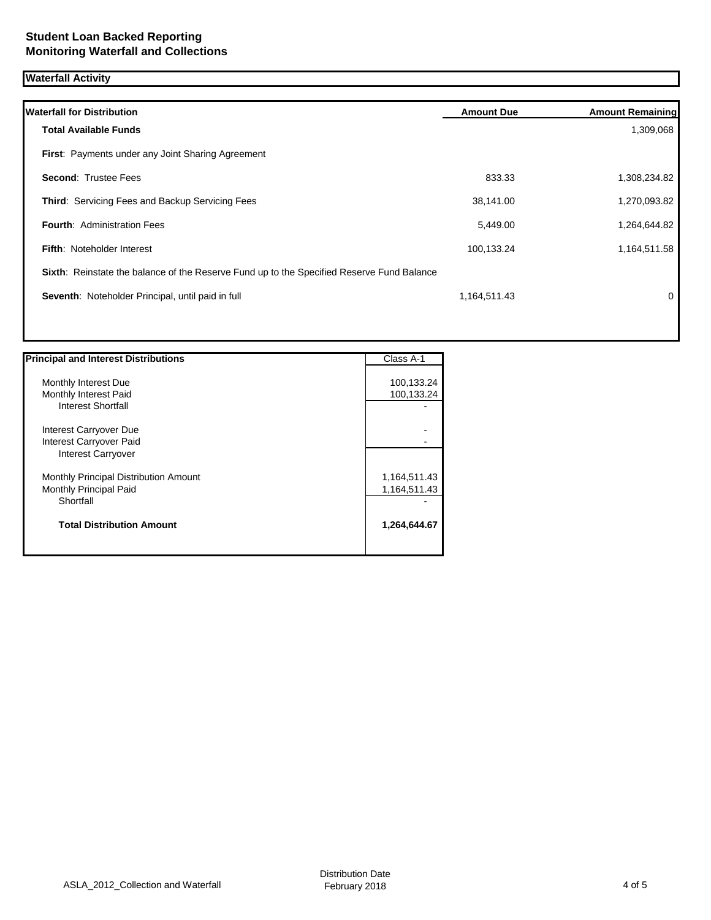## **Waterfall Activity**

| <b>Waterfall for Distribution</b>                                                         | <b>Amount Due</b> | <b>Amount Remaining</b> |
|-------------------------------------------------------------------------------------------|-------------------|-------------------------|
| <b>Total Available Funds</b>                                                              |                   | 1,309,068               |
| First: Payments under any Joint Sharing Agreement                                         |                   |                         |
| <b>Second: Trustee Fees</b>                                                               | 833.33            | 1,308,234.82            |
| Third: Servicing Fees and Backup Servicing Fees                                           | 38,141.00         | 1,270,093.82            |
| <b>Fourth: Administration Fees</b>                                                        | 5,449.00          | 1,264,644.82            |
| <b>Fifth: Noteholder Interest</b>                                                         | 100,133.24        | 1,164,511.58            |
| Sixth: Reinstate the balance of the Reserve Fund up to the Specified Reserve Fund Balance |                   |                         |
| Seventh: Noteholder Principal, until paid in full                                         | 1,164,511.43      | 0                       |
|                                                                                           |                   |                         |

| <b>Principal and Interest Distributions</b>                                    | Class A-1                    |
|--------------------------------------------------------------------------------|------------------------------|
| Monthly Interest Due<br>Monthly Interest Paid<br><b>Interest Shortfall</b>     | 100,133.24<br>100,133.24     |
| Interest Carryover Due<br>Interest Carryover Paid<br><b>Interest Carryover</b> |                              |
| Monthly Principal Distribution Amount<br>Monthly Principal Paid<br>Shortfall   | 1,164,511.43<br>1,164,511.43 |
| <b>Total Distribution Amount</b>                                               | 1,264,644.67                 |